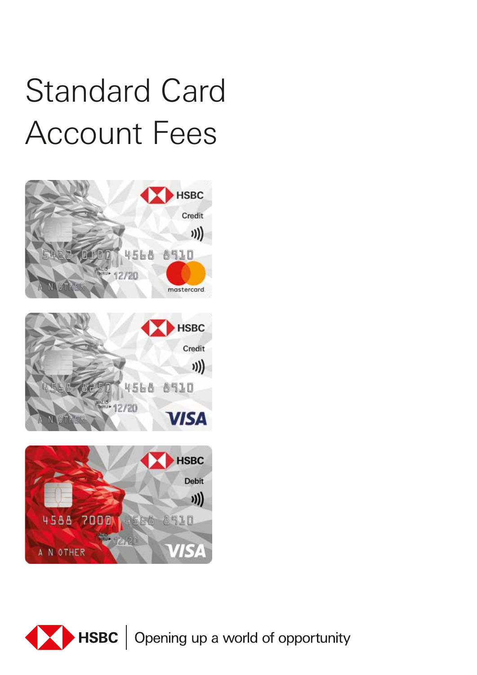## Standard Card Account Fees



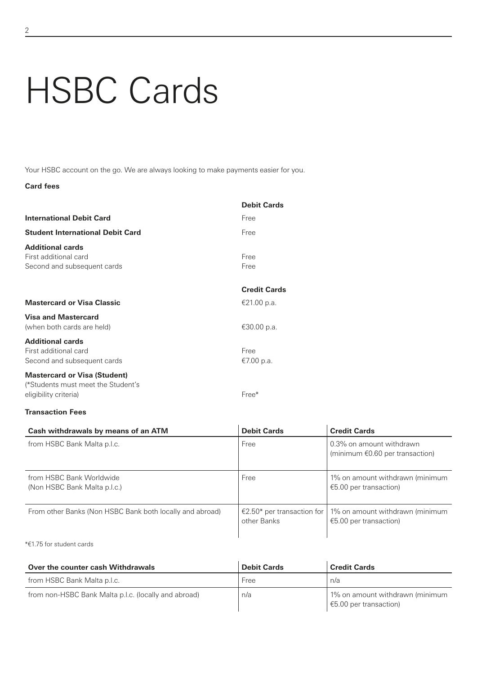# HSBC Cards

Your HSBC account on the go. We are always looking to make payments easier for you.

## **Card fees**

|                                                                                                    | <b>Debit Cards</b>  |
|----------------------------------------------------------------------------------------------------|---------------------|
| <b>International Debit Card</b>                                                                    | Free                |
| <b>Student International Debit Card</b>                                                            | Free                |
| <b>Additional cards</b><br>First additional card<br>Second and subsequent cards                    | Free<br>Free        |
|                                                                                                    | <b>Credit Cards</b> |
| <b>Mastercard or Visa Classic</b>                                                                  | €21.00 p.a.         |
| <b>Visa and Mastercard</b><br>(when both cards are held)                                           | €30.00 p.a.         |
| <b>Additional cards</b><br>First additional card<br>Second and subsequent cards                    | Free<br>€7.00 p.a.  |
| <b>Mastercard or Visa (Student)</b><br>(*Students must meet the Student's<br>eligibility criteria) | Free*               |

#### **Transaction Fees**

| Cash withdrawals by means of an ATM                      | <b>Debit Cards</b>                            | <b>Credit Cards</b>                                                   |
|----------------------------------------------------------|-----------------------------------------------|-----------------------------------------------------------------------|
| from HSBC Bank Malta p.l.c.                              | Free                                          | 0.3% on amount withdrawn<br>(minimum $\epsilon$ 0.60 per transaction) |
| from HSBC Bank Worldwide<br>(Non HSBC Bank Malta p.l.c.) | Free                                          | 1% on amount withdrawn (minimum<br>€5.00 per transaction)             |
| From other Banks (Non HSBC Bank both locally and abroad) | €2.50* per transaction for $ $<br>other Banks | 1% on amount withdrawn (minimum<br>€5.00 per transaction)             |

## \*€1.75 for student cards

| Over the counter cash Withdrawals                    | <b>Debit Cards</b> | <b>Credit Cards</b>                                         |
|------------------------------------------------------|--------------------|-------------------------------------------------------------|
| from HSBC Bank Malta p.l.c.                          | Free               | n/a                                                         |
| from non-HSBC Bank Malta p.l.c. (locally and abroad) | n/a                | 1% on amount withdrawn (minimum<br>↓ €5.00 per transaction) |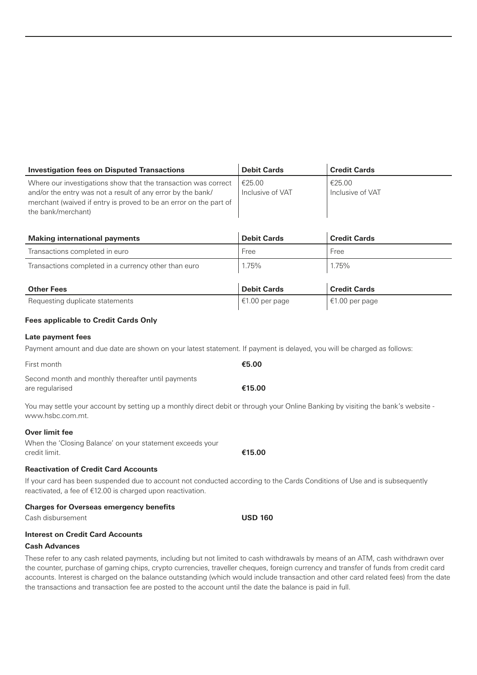| <b>Investigation fees on Disputed Transactions</b>                                                                                                                                                                       | <b>Debit Cards</b>         | <b>Credit Cards</b>        |
|--------------------------------------------------------------------------------------------------------------------------------------------------------------------------------------------------------------------------|----------------------------|----------------------------|
| Where our investigations show that the transaction was correct<br>and/or the entry was not a result of any error by the bank/<br>merchant (waived if entry is proved to be an error on the part of<br>the bank/merchant) | €25.00<br>Inclusive of VAT | €25.00<br>Inclusive of VAT |

| <b>Making international payments</b>                 | <b>Debit Cards</b> | <b>Credit Cards</b> |
|------------------------------------------------------|--------------------|---------------------|
| Transactions completed in euro                       | Free               | Free                |
| Transactions completed in a currency other than euro | 1.75%              | 1.75%               |
|                                                      |                    |                     |
| <b>Other Fees</b>                                    | <b>Debit Cards</b> | <b>Credit Cards</b> |
| Requesting duplicate statements                      | €1.00 per page     | €1.00 per page      |

## **Fees applicable to Credit Cards Only**

#### **Late payment fees**

Payment amount and due date are shown on your latest statement. If payment is delayed, you will be charged as follows:

| First month                                        | €5.00  |
|----------------------------------------------------|--------|
| Second month and monthly thereafter until payments |        |
| are regularised                                    | €15.00 |

You may settle your account by setting up a monthly direct debit or through your Online Banking by visiting the bank's website www.hsbc.com.mt.

#### **Over limit fee**

When the 'Closing Balance' on your statement exceeds your credit limit. **€15.00**

## **Reactivation of Credit Card Accounts**

If your card has been suspended due to account not conducted according to the Cards Conditions of Use and is subsequently reactivated, a fee of €12.00 is charged upon reactivation.

## **Charges for Overseas emergency benefits**

Cash disbursement **USD 160**

## **Interest on Credit Card Accounts**

#### **Cash Advances**

These refer to any cash related payments, including but not limited to cash withdrawals by means of an ATM, cash withdrawn over the counter, purchase of gaming chips, crypto currencies, traveller cheques, foreign currency and transfer of funds from credit card accounts. Interest is charged on the balance outstanding (which would include transaction and other card related fees) from the date the transactions and transaction fee are posted to the account until the date the balance is paid in full.